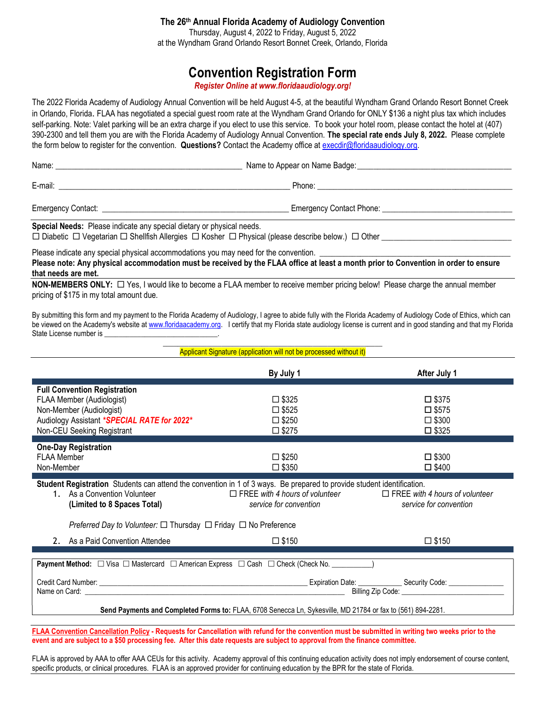#### The 26th Annual Florida Academy of Audiology Convention Thursday, August 4, 2022 to Friday, August 5, 2022 at the Wyndham Grand Orlando Resort Bonnet Creek, Orlando, Florida

# Convention Registration Form

Register Online at www.floridaaudiology.org!

The 2022 Florida Academy of Audiology Annual Convention will be held August 4-5, at the beautiful Wyndham Grand Orlando Resort Bonnet Creek in Orlando, Florida. FLAA has negotiated a special guest room rate at the Wyndham Grand Orlando for ONLY \$136 a night plus tax which includes self-parking. Note: Valet parking will be an extra charge if you elect to use this service. To book your hotel room, please contact the hotel at (407) 390-2300 and tell them you are with the Florida Academy of Audiology Annual Convention. The special rate ends July 8, 2022. Please complete the form below to register for the convention. Questions? Contact the Academy office at execdir@floridaaudiology.org.

| Name:                                                                 | Name to Appear on Name Badge: |  |
|-----------------------------------------------------------------------|-------------------------------|--|
| E-mail:                                                               | Phone: <u>_______________</u> |  |
|                                                                       |                               |  |
| Special Needs: Please indicate any special dietary or physical needs. |                               |  |

 $\Box$  Diabetic  $\Box$  Vegetarian  $\Box$  Shellfish Allergies  $\Box$  Kosher  $\Box$  Physical (please describe below.)  $\Box$  Other

Please indicate any special physical accommodations you may need for the convention. Please note: Any physical accommodation must be received by the FLAA office at least a month prior to Convention in order to ensure that needs are met.

NON-MEMBERS ONLY: □ Yes, I would like to become a FLAA member to receive member pricing below! Please charge the annual member pricing of \$175 in my total amount due.

By submitting this form and my payment to the Florida Academy of Audiology, I agree to abide fully with the Florida Academy of Audiology Code of Ethics, which can be viewed on the Academy's website at www.floridaacademy.org. I certify that my Florida state audiology license is current and in good standing and that my Florida State License number is

> \_\_\_\_\_\_\_\_\_\_\_\_\_\_\_\_\_\_\_\_\_\_\_\_\_\_\_\_\_\_\_\_\_\_\_\_\_\_\_\_\_\_\_\_\_\_\_\_\_\_\_\_\_\_\_\_\_\_\_\_ Applicant Signature (application will not be processed without it)

|                                                                                                                        | By July 1                             | After July 1                          |  |
|------------------------------------------------------------------------------------------------------------------------|---------------------------------------|---------------------------------------|--|
| <b>Full Convention Registration</b>                                                                                    |                                       |                                       |  |
| FLAA Member (Audiologist)                                                                                              | $\square$ \$325                       | $\square$ \$375                       |  |
| Non-Member (Audiologist)                                                                                               | $\square$ \$525                       | $\square$ \$575                       |  |
| Audiology Assistant *SPECIAL RATE for 2022*                                                                            | $\square$ \$250                       | $\square$ \$300                       |  |
| Non-CEU Seeking Registrant                                                                                             | $\square$ \$275                       | $\square$ \$325                       |  |
|                                                                                                                        |                                       |                                       |  |
| <b>One-Day Registration</b>                                                                                            |                                       |                                       |  |
| <b>FLAA Member</b>                                                                                                     | $\square$ \$250                       | $\square$ \$300                       |  |
| Non-Member                                                                                                             | $\square$ \$350                       | $\square$ \$400                       |  |
| Student Registration Students can attend the convention in 1 of 3 ways. Be prepared to provide student identification. |                                       |                                       |  |
| 1. As a Convention Volunteer                                                                                           | $\Box$ FREE with 4 hours of volunteer | $\Box$ FREE with 4 hours of volunteer |  |
| (Limited to 8 Spaces Total)                                                                                            | service for convention                | service for convention                |  |
| Preferred Day to Volunteer: □ Thursday □ Friday □ No Preference                                                        |                                       |                                       |  |
| 2. As a Paid Convention Attendee                                                                                       | $\square$ \$150                       | $\square$ \$150                       |  |
|                                                                                                                        |                                       |                                       |  |
| Payment Method: □ Visa □ Mastercard □ American Express □ Cash □ Check (Check No. ____________)                         |                                       |                                       |  |
|                                                                                                                        |                                       |                                       |  |
|                                                                                                                        |                                       |                                       |  |
|                                                                                                                        |                                       |                                       |  |
| Send Payments and Completed Forms to: FLAA, 6708 Senecca Ln, Sykesville, MD 21784 or fax to (561) 894-2281.            |                                       |                                       |  |
|                                                                                                                        |                                       |                                       |  |

FLAA Convention Cancellation Policy - Requests for Cancellation with refund for the convention must be submitted in writing two weeks prior to the event and are subject to a \$50 processing fee. After this date requests are subject to approval from the finance committee.

FLAA is approved by AAA to offer AAA CEUs for this activity. Academy approval of this continuing education activity does not imply endorsement of course content, specific products, or clinical procedures. FLAA is an approved provider for continuing education by the BPR for the state of Florida.